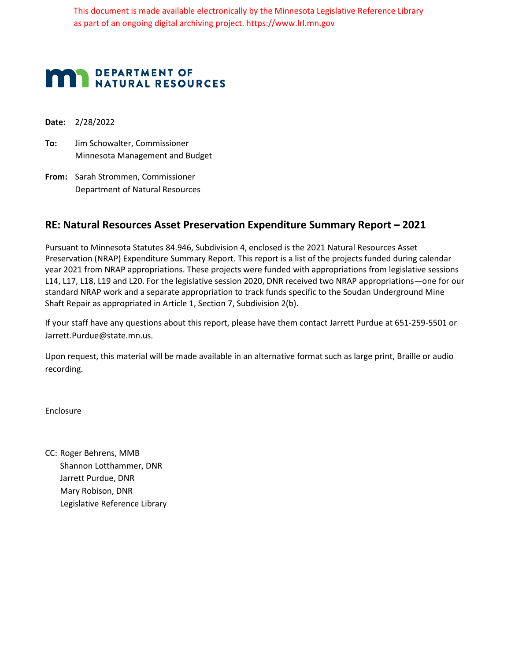This document is made available electronically by the Minnesota Legislative Reference Library as part of an ongoing digital archiving project. https://www.lrl.mn.gov

## **MAN DEPARTMENT OF NATURAL RESOURCES**

**Date:** 2/28/2022

**To:** Jim Schowalter, Commissioner Minnesota Management and Budget

**From:** Sarah Strommen, Commissioner Department of Natural Resources

## **RE: Natural Resources Asset Preservation Expenditure Summary Report – 2021**

Pursuant to Minnesota Statutes 84.946, Subdivision 4, enclosed is the 2021 Natural Resources Asset Preservation (NRAP) Expenditure Summary Report. This report is a list of the projects funded during calendar year 2021 from NRAP appropriations. These projects were funded with appropriations from legislative sessions L14, L17, L18, L19 and L20. For the legislative session 2020, DNR received two NRAP appropriations—one for our standard NRAP work and a separate appropriation to track funds specific to the Soudan Underground Mine Shaft Repair as appropriated in Article 1, Section 7, Subdivision 2(b).

If your staff have any questions about this report, please have them contact Jarrett Purdue at 651-259-5501 or Jarrett.Purdue@state.mn.us.

Upon request, this material will be made available in an alternative format such as large print, Braille or audio recording.

Enclosure

CC: Roger Behrens, MMB Shannon Lotthammer, DNR Jarrett Purdue, DNR Mary Robison, DNR Legislative Reference Library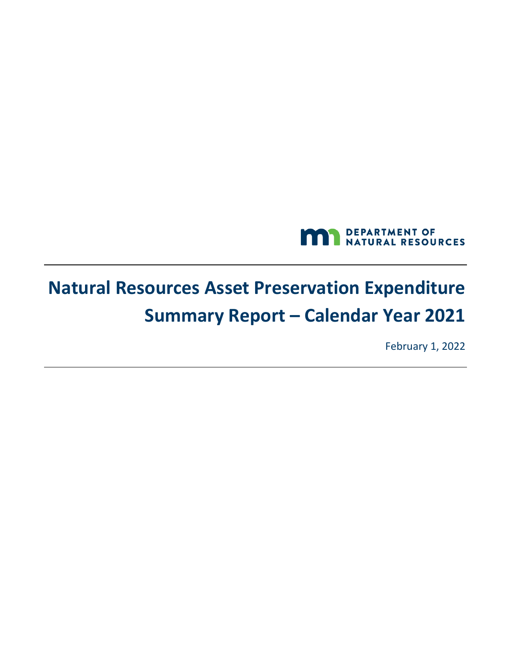

## **Natural Resources Asset Preservation Expenditure Summary Report – Calendar Year 2021**

February 1, 2022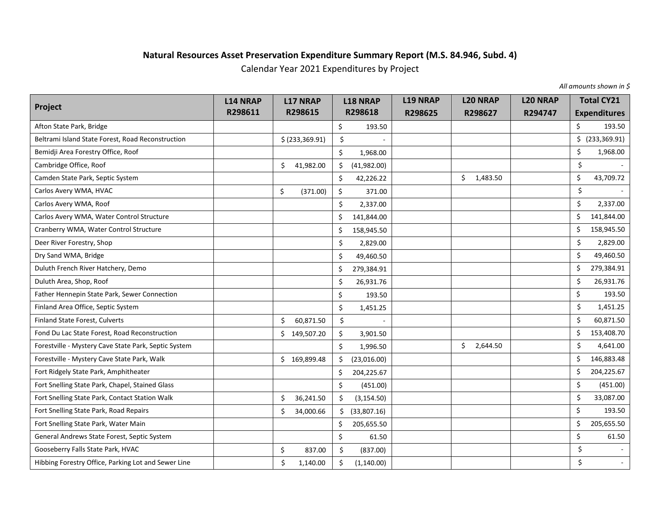## **Natural Resources Asset Preservation Expenditure Summary Report (M.S. 84.946, Subd. 4)**

Calendar Year 2021 Expenditures by Project

*All amounts shown in \$*

| Project                                              | <b>L14 NRAP</b> | <b>L17 NRAP</b>  |    | <b>L18 NRAP</b> | <b>L19 NRAP</b> | <b>L20 NRAP</b> | <b>L20 NRAP</b> |                     | <b>Total CY21</b> |
|------------------------------------------------------|-----------------|------------------|----|-----------------|-----------------|-----------------|-----------------|---------------------|-------------------|
|                                                      | R298611         | R298615          |    | R298618         | R298625         | R298627         | R294747         | <b>Expenditures</b> |                   |
| Afton State Park, Bridge                             |                 |                  | \$ | 193.50          |                 |                 |                 | \$                  | 193.50            |
| Beltrami Island State Forest, Road Reconstruction    |                 | $$$ (233,369.91) | \$ |                 |                 |                 |                 |                     | $$$ (233,369.91)  |
| Bemidji Area Forestry Office, Roof                   |                 |                  | Ś. | 1,968.00        |                 |                 |                 | \$                  | 1,968.00          |
| Cambridge Office, Roof                               |                 | \$<br>41,982.00  | \$ | (41,982.00)     |                 |                 |                 | \$                  |                   |
| Camden State Park, Septic System                     |                 |                  | \$ | 42,226.22       |                 | \$<br>1,483.50  |                 | \$                  | 43,709.72         |
| Carlos Avery WMA, HVAC                               |                 | \$<br>(371.00)   | \$ | 371.00          |                 |                 |                 | \$                  |                   |
| Carlos Avery WMA, Roof                               |                 |                  | \$ | 2,337.00        |                 |                 |                 | \$                  | 2,337.00          |
| Carlos Avery WMA, Water Control Structure            |                 |                  | \$ | 141,844.00      |                 |                 |                 | \$                  | 141,844.00        |
| Cranberry WMA, Water Control Structure               |                 |                  | \$ | 158,945.50      |                 |                 |                 | \$                  | 158,945.50        |
| Deer River Forestry, Shop                            |                 |                  | \$ | 2,829.00        |                 |                 |                 | \$                  | 2,829.00          |
| Dry Sand WMA, Bridge                                 |                 |                  | \$ | 49,460.50       |                 |                 |                 | \$                  | 49,460.50         |
| Duluth French River Hatchery, Demo                   |                 |                  | \$ | 279,384.91      |                 |                 |                 | \$                  | 279,384.91        |
| Duluth Area, Shop, Roof                              |                 |                  | \$ | 26,931.76       |                 |                 |                 | \$                  | 26,931.76         |
| Father Hennepin State Park, Sewer Connection         |                 |                  | \$ | 193.50          |                 |                 |                 | \$                  | 193.50            |
| Finland Area Office, Septic System                   |                 |                  | \$ | 1,451.25        |                 |                 |                 | \$                  | 1,451.25          |
| Finland State Forest, Culverts                       |                 | \$<br>60,871.50  | \$ |                 |                 |                 |                 | \$                  | 60,871.50         |
| Fond Du Lac State Forest, Road Reconstruction        |                 | Ś.<br>149,507.20 | \$ | 3,901.50        |                 |                 |                 | \$                  | 153,408.70        |
| Forestville - Mystery Cave State Park, Septic System |                 |                  | \$ | 1,996.50        |                 | \$<br>2,644.50  |                 | \$                  | 4,641.00          |
| Forestville - Mystery Cave State Park, Walk          |                 | \$169,899.48     | \$ | (23,016.00)     |                 |                 |                 | \$                  | 146,883.48        |
| Fort Ridgely State Park, Amphitheater                |                 |                  | \$ | 204,225.67      |                 |                 |                 | \$                  | 204,225.67        |
| Fort Snelling State Park, Chapel, Stained Glass      |                 |                  | \$ | (451.00)        |                 |                 |                 | \$                  | (451.00)          |
| Fort Snelling State Park, Contact Station Walk       |                 | \$<br>36,241.50  | Ŝ. | (3, 154.50)     |                 |                 |                 | \$                  | 33,087.00         |
| Fort Snelling State Park, Road Repairs               |                 | Ś<br>34,000.66   | \$ | (33,807.16)     |                 |                 |                 | \$                  | 193.50            |
| Fort Snelling State Park, Water Main                 |                 |                  | \$ | 205,655.50      |                 |                 |                 | \$                  | 205,655.50        |
| General Andrews State Forest, Septic System          |                 |                  | \$ | 61.50           |                 |                 |                 | \$                  | 61.50             |
| Gooseberry Falls State Park, HVAC                    |                 | \$<br>837.00     | \$ | (837.00)        |                 |                 |                 | \$                  | $\sim$            |
| Hibbing Forestry Office, Parking Lot and Sewer Line  |                 | \$<br>1,140.00   | Ś. | (1, 140.00)     |                 |                 |                 | \$                  | $\sim$            |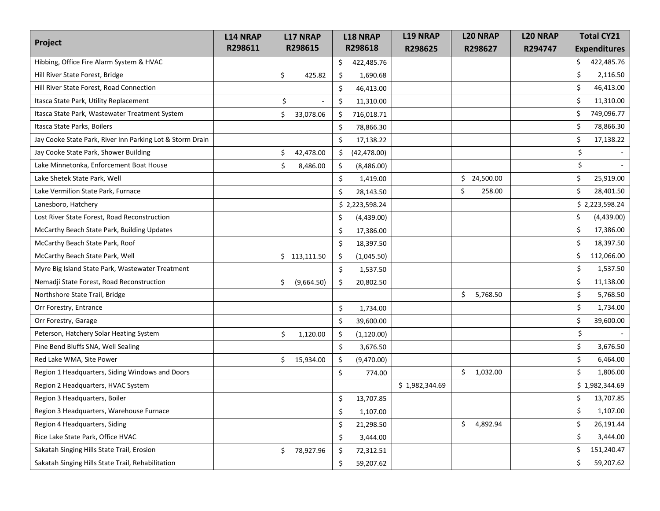| Project                                                   | <b>L14 NRAP</b> | <b>L17 NRAP</b>   | <b>L18 NRAP</b>    | <b>L19 NRAP</b> | <b>L20 NRAP</b> | <b>L20 NRAP</b> | <b>Total CY21</b>   |  |
|-----------------------------------------------------------|-----------------|-------------------|--------------------|-----------------|-----------------|-----------------|---------------------|--|
|                                                           | R298611         | R298615           | R298618            | R298625         | R298627         | R294747         | <b>Expenditures</b> |  |
| Hibbing, Office Fire Alarm System & HVAC                  |                 |                   | \$<br>422,485.76   |                 |                 |                 | \$<br>422,485.76    |  |
| Hill River State Forest, Bridge                           |                 | \$<br>425.82      | \$<br>1,690.68     |                 |                 |                 | \$<br>2,116.50      |  |
| Hill River State Forest, Road Connection                  |                 |                   | \$<br>46,413.00    |                 |                 |                 | \$<br>46,413.00     |  |
| Itasca State Park, Utility Replacement                    |                 | \$                | \$<br>11,310.00    |                 |                 |                 | \$<br>11,310.00     |  |
| Itasca State Park, Wastewater Treatment System            |                 | \$<br>33,078.06   | \$<br>716,018.71   |                 |                 |                 | \$<br>749,096.77    |  |
| Itasca State Parks, Boilers                               |                 |                   | \$<br>78,866.30    |                 |                 |                 | \$<br>78,866.30     |  |
| Jay Cooke State Park, River Inn Parking Lot & Storm Drain |                 |                   | \$<br>17,138.22    |                 |                 |                 | \$<br>17,138.22     |  |
| Jay Cooke State Park, Shower Building                     |                 | \$<br>42,478.00   | \$<br>(42, 478.00) |                 |                 |                 | \$                  |  |
| Lake Minnetonka, Enforcement Boat House                   |                 | \$<br>8,486.00    | \$<br>(8,486.00)   |                 |                 |                 | \$                  |  |
| Lake Shetek State Park, Well                              |                 |                   | \$<br>1,419.00     |                 | \$24,500.00     |                 | \$<br>25,919.00     |  |
| Lake Vermilion State Park, Furnace                        |                 |                   | \$<br>28,143.50    |                 | \$<br>258.00    |                 | \$<br>28,401.50     |  |
| Lanesboro, Hatchery                                       |                 |                   | \$2,223,598.24     |                 |                 |                 | \$2,223,598.24      |  |
| Lost River State Forest, Road Reconstruction              |                 |                   | \$<br>(4,439.00)   |                 |                 |                 | \$<br>(4,439.00)    |  |
| McCarthy Beach State Park, Building Updates               |                 |                   | \$<br>17,386.00    |                 |                 |                 | \$<br>17,386.00     |  |
| McCarthy Beach State Park, Roof                           |                 |                   | \$<br>18,397.50    |                 |                 |                 | \$<br>18,397.50     |  |
| McCarthy Beach State Park, Well                           |                 | \$.<br>113,111.50 | \$<br>(1,045.50)   |                 |                 |                 | \$<br>112,066.00    |  |
| Myre Big Island State Park, Wastewater Treatment          |                 |                   | Ś.<br>1,537.50     |                 |                 |                 | \$<br>1,537.50      |  |
| Nemadji State Forest, Road Reconstruction                 |                 | \$<br>(9,664.50)  | \$<br>20,802.50    |                 |                 |                 | \$<br>11,138.00     |  |
| Northshore State Trail, Bridge                            |                 |                   |                    |                 | \$.<br>5,768.50 |                 | \$<br>5,768.50      |  |
| Orr Forestry, Entrance                                    |                 |                   | \$<br>1,734.00     |                 |                 |                 | \$<br>1,734.00      |  |
| Orr Forestry, Garage                                      |                 |                   | \$<br>39,600.00    |                 |                 |                 | \$<br>39,600.00     |  |
| Peterson, Hatchery Solar Heating System                   |                 | Ś<br>1,120.00     | \$<br>(1, 120.00)  |                 |                 |                 | \$                  |  |
| Pine Bend Bluffs SNA, Well Sealing                        |                 |                   | Ŝ.<br>3,676.50     |                 |                 |                 | \$<br>3,676.50      |  |
| Red Lake WMA, Site Power                                  |                 | \$<br>15,934.00   | \$<br>(9,470.00)   |                 |                 |                 | \$<br>6,464.00      |  |
| Region 1 Headquarters, Siding Windows and Doors           |                 |                   | \$<br>774.00       |                 | \$.<br>1,032.00 |                 | \$<br>1,806.00      |  |
| Region 2 Headquarters, HVAC System                        |                 |                   |                    | \$1,982,344.69  |                 |                 | \$1,982,344.69      |  |
| Region 3 Headquarters, Boiler                             |                 |                   | \$<br>13,707.85    |                 |                 |                 | \$<br>13,707.85     |  |
| Region 3 Headquarters, Warehouse Furnace                  |                 |                   | \$<br>1,107.00     |                 |                 |                 | \$<br>1,107.00      |  |
| Region 4 Headquarters, Siding                             |                 |                   | \$<br>21,298.50    |                 | \$<br>4,892.94  |                 | \$<br>26,191.44     |  |
| Rice Lake State Park, Office HVAC                         |                 |                   | \$<br>3,444.00     |                 |                 |                 | \$<br>3,444.00      |  |
| Sakatah Singing Hills State Trail, Erosion                |                 | \$<br>78,927.96   | \$<br>72,312.51    |                 |                 |                 | \$<br>151,240.47    |  |
| Sakatah Singing Hills State Trail, Rehabilitation         |                 |                   | \$<br>59,207.62    |                 |                 |                 | \$<br>59,207.62     |  |